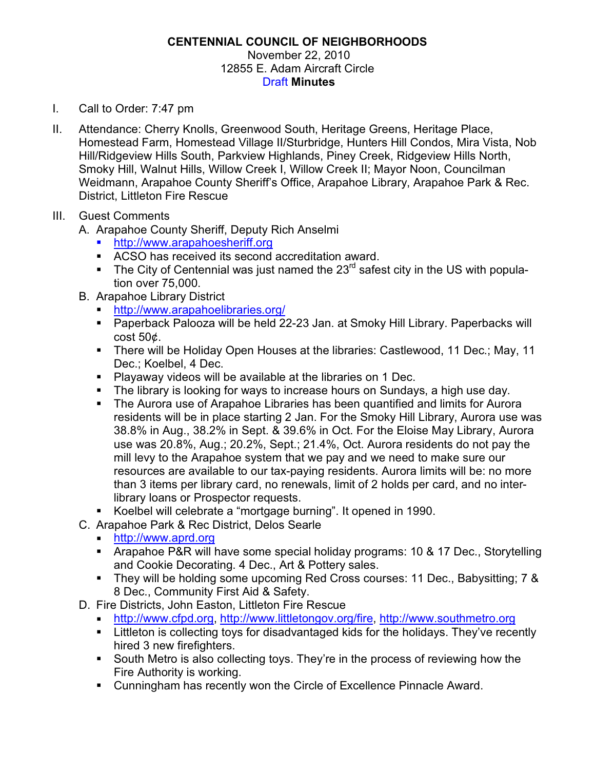## **CENTENNIAL COUNCIL OF NEIGHBORHOODS** November 22, 2010 12855 E. Adam Aircraft Circle Draft **Minutes**

- I. Call to Order: 7:47 pm
- II. Attendance: Cherry Knolls, Greenwood South, Heritage Greens, Heritage Place, Homestead Farm, Homestead Village II/Sturbridge, Hunters Hill Condos, Mira Vista, Nob Hill/Ridgeview Hills South, Parkview Highlands, Piney Creek, Ridgeview Hills North, Smoky Hill, Walnut Hills, Willow Creek I, Willow Creek II; Mayor Noon, Councilman Weidmann, Arapahoe County Sheriff's Office, Arapahoe Library, Arapahoe Park & Rec. District, Littleton Fire Rescue
- III. Guest Comments
	- A. Arapahoe County Sheriff, Deputy Rich Anselmi
		- ! http://www.arapahoesheriff.org
		- ! ACSO has received its second accreditation award.
		- **The City of Centennial was just named the 23<sup>rd</sup> safest city in the US with popula**tion over 75,000.
	- B. Arapahoe Library District
		- ! http://www.arapahoelibraries.org/
		- ! Paperback Palooza will be held 22-23 Jan. at Smoky Hill Library. Paperbacks will cost 50¢.
		- ! There will be Holiday Open Houses at the libraries: Castlewood, 11 Dec.; May, 11 Dec.; Koelbel, 4 Dec.
		- ! Playaway videos will be available at the libraries on 1 Dec.
		- **The library is looking for ways to increase hours on Sundays, a high use day.**
		- ! The Aurora use of Arapahoe Libraries has been quantified and limits for Aurora residents will be in place starting 2 Jan. For the Smoky Hill Library, Aurora use was 38.8% in Aug., 38.2% in Sept. & 39.6% in Oct. For the Eloise May Library, Aurora use was 20.8%, Aug.; 20.2%, Sept.; 21.4%, Oct. Aurora residents do not pay the mill levy to the Arapahoe system that we pay and we need to make sure our resources are available to our tax-paying residents. Aurora limits will be: no more than 3 items per library card, no renewals, limit of 2 holds per card, and no interlibrary loans or Prospector requests.
		- ! Koelbel will celebrate a "mortgage burning". It opened in 1990.
	- C. Arapahoe Park & Rec District, Delos Searle
		- ! http://www.aprd.org
		- ! Arapahoe P&R will have some special holiday programs: 10 & 17 Dec., Storytelling and Cookie Decorating. 4 Dec., Art & Pottery sales.
		- ! They will be holding some upcoming Red Cross courses: 11 Dec., Babysitting; 7 & 8 Dec., Community First Aid & Safety.
	- D. Fire Districts, John Easton, Littleton Fire Rescue
		- ! http://www.cfpd.org, http://www.littletongov.org/fire, http://www.southmetro.org
		- **EXTERGHEDE IN EXEL THE INCORDED IS CONCORDED FIGHTS IN EXAM** Littleton is collecting to Littleton is collecting to hired 3 new firefighters.
		- ! South Metro is also collecting toys. They're in the process of reviewing how the Fire Authority is working.
		- ! Cunningham has recently won the Circle of Excellence Pinnacle Award.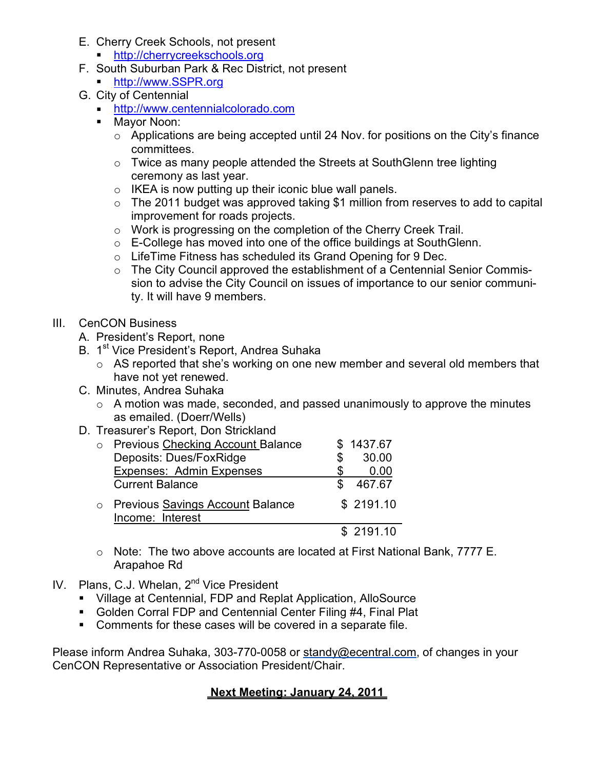- E. Cherry Creek Schools, not present
	- ! http://cherrycreekschools.org
- F. South Suburban Park & Rec District, not present
	- ! http://www.SSPR.org
- G. City of Centennial
	- ! http://www.centennialcolorado.com
	- ! Mayor Noon:
		- o Applications are being accepted until 24 Nov. for positions on the City's finance committees.
		- o Twice as many people attended the Streets at SouthGlenn tree lighting ceremony as last year.
		- o IKEA is now putting up their iconic blue wall panels.
		- $\circ$  The 2011 budget was approved taking \$1 million from reserves to add to capital improvement for roads projects.
		- o Work is progressing on the completion of the Cherry Creek Trail.
		- o E-College has moved into one of the office buildings at SouthGlenn.
		- o LifeTime Fitness has scheduled its Grand Opening for 9 Dec.
		- o The City Council approved the establishment of a Centennial Senior Commission to advise the City Council on issues of importance to our senior community. It will have 9 members.

# III. CenCON Business

- A. President's Report, none
- B. 1<sup>st</sup> Vice President's Report, Andrea Suhaka
	- $\circ$  AS reported that she's working on one new member and several old members that have not yet renewed.
- C. Minutes, Andrea Suhaka
	- $\circ$  A motion was made, seconded, and passed unanimously to approve the minutes as emailed. (Doerr/Wells)
- D. Treasurer's Report, Don Strickland

| <b>Previous Checking Account Balance</b><br>Deposits: Dues/FoxRidge | S | \$1437.67<br>30.00 |
|---------------------------------------------------------------------|---|--------------------|
| <b>Expenses: Admin Expenses</b>                                     |   | 0.00               |
| <b>Current Balance</b>                                              |   | 467.67             |
| <b>Previous Savings Account Balance</b><br>Income: Interest         |   | \$2191.10          |
|                                                                     |   | \$2191.10          |

- o Note: The two above accounts are located at First National Bank, 7777 E. Arapahoe Rd
- IV. Plans, C.J. Whelan, 2<sup>nd</sup> Vice President
	- ! Village at Centennial, FDP and Replat Application, AlloSource
	- **Golden Corral FDP and Centennial Center Filing #4, Final Plat**
	- ! Comments for these cases will be covered in a separate file.

Please inform Andrea Suhaka, 303-770-0058 or standy@ecentral.com, of changes in your CenCON Representative or Association President/Chair.

# **Next Meeting: January 24, 2011**